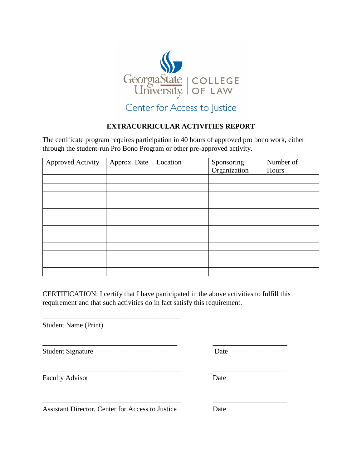

## **EXTRACURRICULAR ACTIVITIES REPORT**

The certificate program requires participation in 40 hours of approved pro bono work, either through the student-run Pro Bono Program or other pre-approved activity.

| <b>Approved Activity</b> | Approx. Date | Location | Sponsoring   | Number of |
|--------------------------|--------------|----------|--------------|-----------|
|                          |              |          | Organization | Hours     |
|                          |              |          |              |           |
|                          |              |          |              |           |
|                          |              |          |              |           |
|                          |              |          |              |           |
|                          |              |          |              |           |
|                          |              |          |              |           |
|                          |              |          |              |           |
|                          |              |          |              |           |
|                          |              |          |              |           |
|                          |              |          |              |           |
|                          |              |          |              |           |
|                          |              |          |              |           |

CERTIFICATION: I certify that I have participated in the above activities to fulfill this requirement and that such activities do in fact satisfy this requirement.

\_\_\_\_\_\_\_\_\_\_\_\_\_\_\_\_\_\_\_\_\_\_\_\_\_\_\_\_\_\_\_\_\_\_\_\_\_\_ \_\_\_\_\_\_\_\_\_\_\_\_\_\_\_\_\_\_\_\_\_

\_\_\_\_\_\_\_\_\_\_\_\_\_\_\_\_\_\_\_\_\_\_\_\_\_\_\_\_\_\_\_\_\_\_\_\_\_\_\_ \_\_\_\_\_\_\_\_\_\_\_\_\_\_\_\_\_\_\_\_\_

\_\_\_\_\_\_\_\_\_\_\_\_\_\_\_\_\_\_\_\_\_\_\_\_\_\_\_\_\_\_\_\_\_\_\_\_\_\_\_ \_\_\_\_\_\_\_\_\_\_\_\_\_\_\_\_\_\_\_\_\_

Student Name (Print)

Student Signature Date

Faculty Advisor Date

Assistant Director, Center for Access to Justice Date

\_\_\_\_\_\_\_\_\_\_\_\_\_\_\_\_\_\_\_\_\_\_\_\_\_\_\_\_\_\_\_\_\_\_\_\_\_\_\_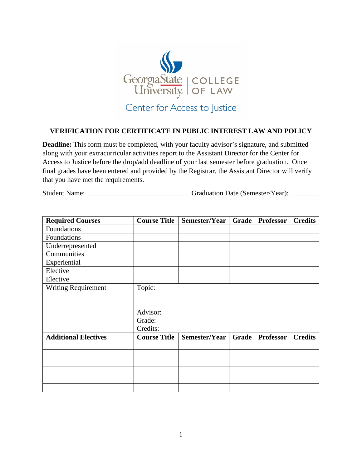

## **VERIFICATION FOR CERTIFICATE IN PUBLIC INTEREST LAW AND POLICY**

**Deadline:** This form must be completed, with your faculty advisor's signature, and submitted along with your extracurricular activities report to the Assistant Director for the Center for Access to Justice before the drop/add deadline of your last semester before graduation. Once final grades have been entered and provided by the Registrar, the Assistant Director will verify that you have met the requirements.

Student Name: \_\_\_\_\_\_\_\_\_\_\_\_\_\_\_\_\_\_\_\_\_\_\_\_\_\_\_\_\_\_\_\_Graduation Date (Semester/Year): \_\_\_\_\_\_\_\_

| <b>Required Courses</b>     | <b>Course Title</b> | Semester/Year | Grade        | <b>Professor</b> | <b>Credits</b> |
|-----------------------------|---------------------|---------------|--------------|------------------|----------------|
| Foundations                 |                     |               |              |                  |                |
| Foundations                 |                     |               |              |                  |                |
| Underrepresented            |                     |               |              |                  |                |
| Communities                 |                     |               |              |                  |                |
| Experiential                |                     |               |              |                  |                |
| Elective                    |                     |               |              |                  |                |
| Elective                    |                     |               |              |                  |                |
| <b>Writing Requirement</b>  | Topic:              |               |              |                  |                |
|                             |                     |               |              |                  |                |
|                             |                     |               |              |                  |                |
|                             | Advisor:            |               |              |                  |                |
|                             | Grade:              |               |              |                  |                |
|                             | Credits:            |               |              |                  |                |
| <b>Additional Electives</b> | <b>Course Title</b> | Semester/Year | <b>Grade</b> | <b>Professor</b> | <b>Credits</b> |
|                             |                     |               |              |                  |                |
|                             |                     |               |              |                  |                |
|                             |                     |               |              |                  |                |
|                             |                     |               |              |                  |                |
|                             |                     |               |              |                  |                |
|                             |                     |               |              |                  |                |